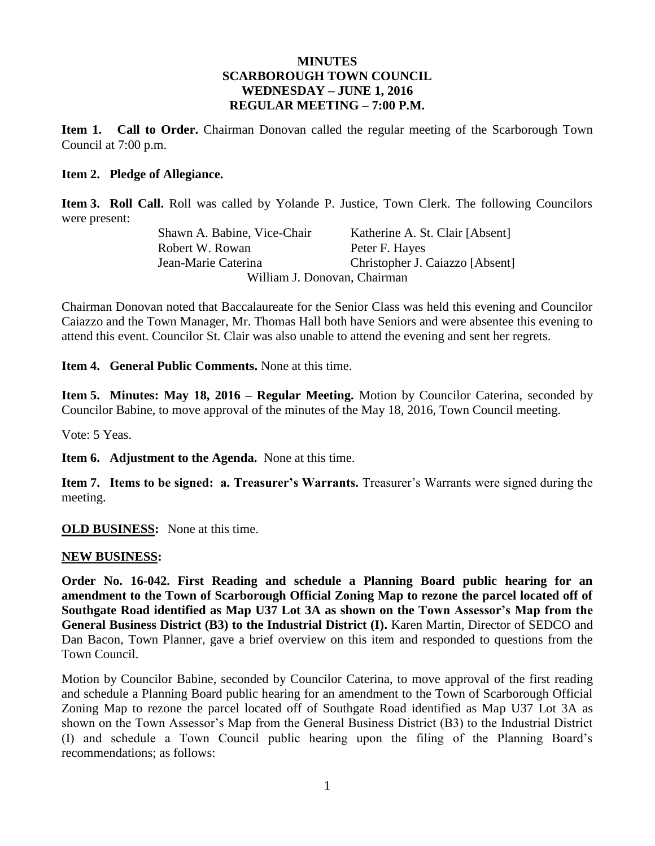#### **MINUTES SCARBOROUGH TOWN COUNCIL WEDNESDAY – JUNE 1, 2016 REGULAR MEETING – 7:00 P.M.**

**Item 1. Call to Order.** Chairman Donovan called the regular meeting of the Scarborough Town Council at 7:00 p.m.

#### **Item 2. Pledge of Allegiance.**

**Item 3. Roll Call.** Roll was called by Yolande P. Justice, Town Clerk. The following Councilors were present:

Shawn A. Babine, Vice-Chair Katherine A. St. Clair [Absent] Robert W. Rowan Peter F. Hayes Jean-Marie Caterina Christopher J. Caiazzo [Absent] William J. Donovan, Chairman

Chairman Donovan noted that Baccalaureate for the Senior Class was held this evening and Councilor Caiazzo and the Town Manager, Mr. Thomas Hall both have Seniors and were absentee this evening to attend this event. Councilor St. Clair was also unable to attend the evening and sent her regrets.

**Item 4. General Public Comments.** None at this time.

**Item 5. Minutes: May 18, 2016 – Regular Meeting.** Motion by Councilor Caterina, seconded by Councilor Babine, to move approval of the minutes of the May 18, 2016, Town Council meeting.

Vote: 5 Yeas.

**Item 6. Adjustment to the Agenda.** None at this time.

**Item 7. Items to be signed: a. Treasurer's Warrants.** Treasurer's Warrants were signed during the meeting.

**OLD BUSINESS:** None at this time.

#### **NEW BUSINESS:**

**Order No. 16-042. First Reading and schedule a Planning Board public hearing for an amendment to the Town of Scarborough Official Zoning Map to rezone the parcel located off of Southgate Road identified as Map U37 Lot 3A as shown on the Town Assessor's Map from the General Business District (B3) to the Industrial District (I).** Karen Martin, Director of SEDCO and Dan Bacon, Town Planner, gave a brief overview on this item and responded to questions from the Town Council.

Motion by Councilor Babine, seconded by Councilor Caterina, to move approval of the first reading and schedule a Planning Board public hearing for an amendment to the Town of Scarborough Official Zoning Map to rezone the parcel located off of Southgate Road identified as Map U37 Lot 3A as shown on the Town Assessor's Map from the General Business District (B3) to the Industrial District (I) and schedule a Town Council public hearing upon the filing of the Planning Board's recommendations; as follows: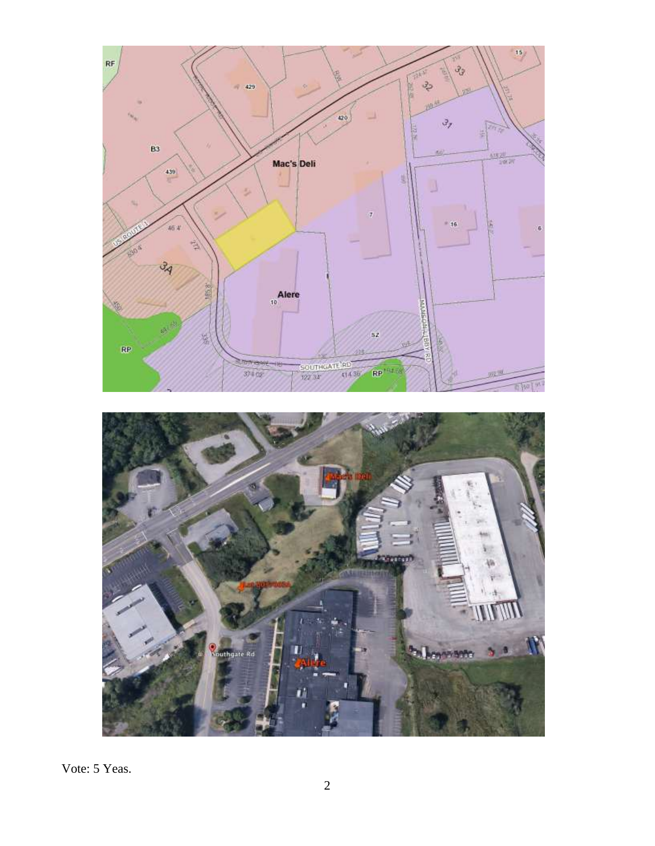

Vote: 5 Yeas.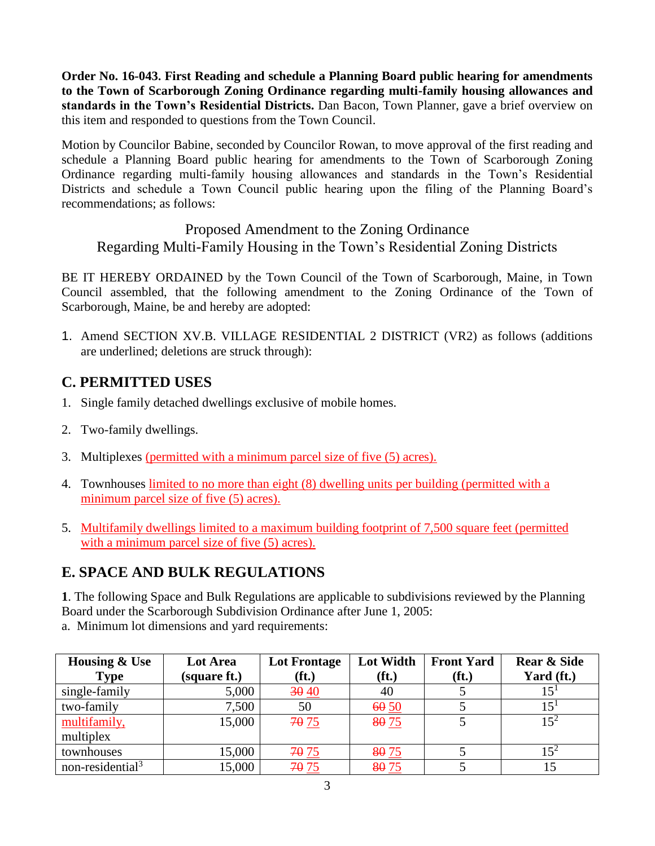**Order No. 16-043. First Reading and schedule a Planning Board public hearing for amendments to the Town of Scarborough Zoning Ordinance regarding multi-family housing allowances and standards in the Town's Residential Districts.** Dan Bacon, Town Planner, gave a brief overview on this item and responded to questions from the Town Council.

Motion by Councilor Babine, seconded by Councilor Rowan, to move approval of the first reading and schedule a Planning Board public hearing for amendments to the Town of Scarborough Zoning Ordinance regarding multi-family housing allowances and standards in the Town's Residential Districts and schedule a Town Council public hearing upon the filing of the Planning Board's recommendations; as follows:

Proposed Amendment to the Zoning Ordinance Regarding Multi-Family Housing in the Town's Residential Zoning Districts

BE IT HEREBY ORDAINED by the Town Council of the Town of Scarborough, Maine, in Town Council assembled, that the following amendment to the Zoning Ordinance of the Town of Scarborough, Maine, be and hereby are adopted:

1. Amend SECTION XV.B. VILLAGE RESIDENTIAL 2 DISTRICT (VR2) as follows (additions are underlined; deletions are struck through):

## **C. PERMITTED USES**

- 1. Single family detached dwellings exclusive of mobile homes.
- 2. Two-family dwellings.
- 3. Multiplexes (permitted with a minimum parcel size of five (5) acres).
- 4. Townhouses limited to no more than eight (8) dwelling units per building (permitted with a minimum parcel size of five (5) acres).
- 5. Multifamily dwellings limited to a maximum building footprint of 7,500 square feet (permitted with a minimum parcel size of five (5) acres).

## **E. SPACE AND BULK REGULATIONS**

**1**. The following Space and Bulk Regulations are applicable to subdivisions reviewed by the Planning Board under the Scarborough Subdivision Ordinance after June 1, 2005: a. Minimum lot dimensions and yard requirements:

| <b>Housing &amp; Use</b>     | Lot Area     | <b>Lot Frontage</b> | <b>Lot Width</b> | <b>Front Yard</b> | <b>Rear &amp; Side</b> |
|------------------------------|--------------|---------------------|------------------|-------------------|------------------------|
| Type                         | (square ft.) | (f <sub>t</sub> )   | $(f_t)$          | (f <sub>t</sub> ) | Yard (ft.)             |
| single-family                | 5,000        | 3040                | 40               |                   | 15 <sup>1</sup>        |
| two-family                   | 7,500        | 50                  | 60, 50           |                   | $15^{1}$               |
| multifamily,                 | 15,000       | 70 75               | 8075             |                   | $1.5^{2}$              |
| multiplex                    |              |                     |                  |                   |                        |
| townhouses                   | 15,000       | 70 75               | 80 75            |                   | $15^2$                 |
| non-residential <sup>3</sup> | 15,000       | 70 75               | 8075             |                   |                        |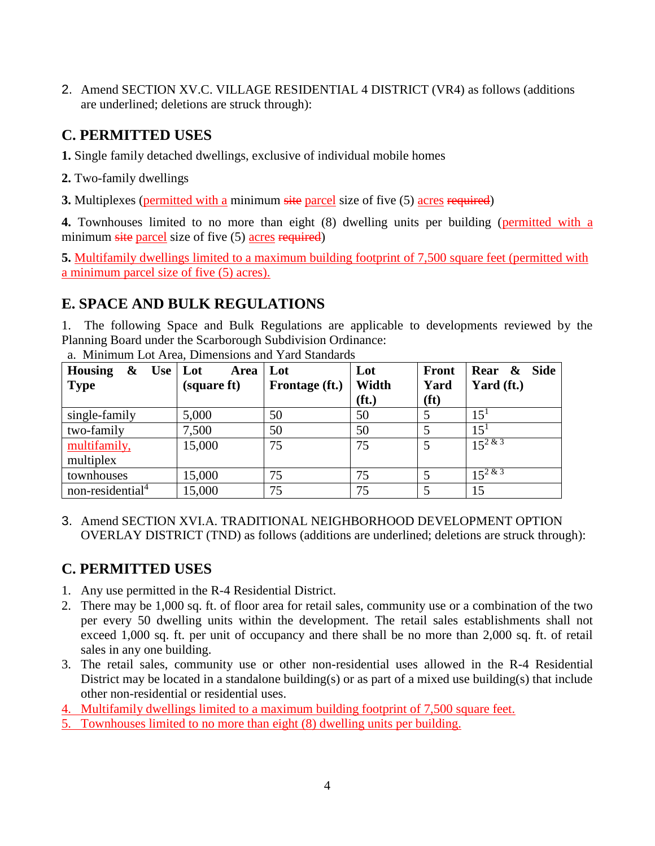2. Amend SECTION XV.C. VILLAGE RESIDENTIAL 4 DISTRICT (VR4) as follows (additions are underlined; deletions are struck through):

# **C. PERMITTED USES**

**1.** Single family detached dwellings, exclusive of individual mobile homes

**2.** Two-family dwellings

**3.** Multiplexes (permitted with a minimum site parcel size of five (5) acres required)

**4.** Townhouses limited to no more than eight (8) dwelling units per building (permitted with a minimum site parcel size of five (5) acres required)

**5.** Multifamily dwellings limited to a maximum building footprint of 7,500 square feet (permitted with a minimum parcel size of five (5) acres).

## **E. SPACE AND BULK REGULATIONS**

1. The following Space and Bulk Regulations are applicable to developments reviewed by the Planning Board under the Scarborough Subdivision Ordinance:

| <b>Housing</b><br>Use   Lot<br>$\boldsymbol{\&}$ | Area        | Lot            | Lot               | <b>Front</b>      | Rear &<br>Side |
|--------------------------------------------------|-------------|----------------|-------------------|-------------------|----------------|
| <b>Type</b>                                      | (square ft) | Frontage (ft.) | Width             | Yard              | Yard (ft.)     |
|                                                  |             |                | (f <sub>t</sub> ) | (f <sub>t</sub> ) |                |
| single-family                                    | 5,000       | 50             | 50                | 5                 | $15^{1}$       |
| two-family                                       | 7,500       | 50             | 50                | 5                 | $15^{1}$       |
| multifamily,                                     | 15,000      | 75             | 75                | 5                 | $15^{2 \& 3}$  |
| multiplex                                        |             |                |                   |                   |                |
| townhouses                                       | 15,000      | 75             | 75                | 5                 | $15^{2 \& 3}$  |
| non-residential <sup>4</sup>                     | 15,000      | 75             | 75                |                   | 15             |

a. Minimum Lot Area, Dimensions and Yard Standards

3. Amend SECTION XVI.A. TRADITIONAL NEIGHBORHOOD DEVELOPMENT OPTION OVERLAY DISTRICT (TND) as follows (additions are underlined; deletions are struck through):

# **C. PERMITTED USES**

- 1. Any use permitted in the R-4 Residential District.
- 2. There may be 1,000 sq. ft. of floor area for retail sales, community use or a combination of the two per every 50 dwelling units within the development. The retail sales establishments shall not exceed 1,000 sq. ft. per unit of occupancy and there shall be no more than 2,000 sq. ft. of retail sales in any one building.
- 3. The retail sales, community use or other non-residential uses allowed in the R-4 Residential District may be located in a standalone building(s) or as part of a mixed use building(s) that include other non-residential or residential uses.
- 4. Multifamily dwellings limited to a maximum building footprint of 7,500 square feet.
- 5. Townhouses limited to no more than eight (8) dwelling units per building.